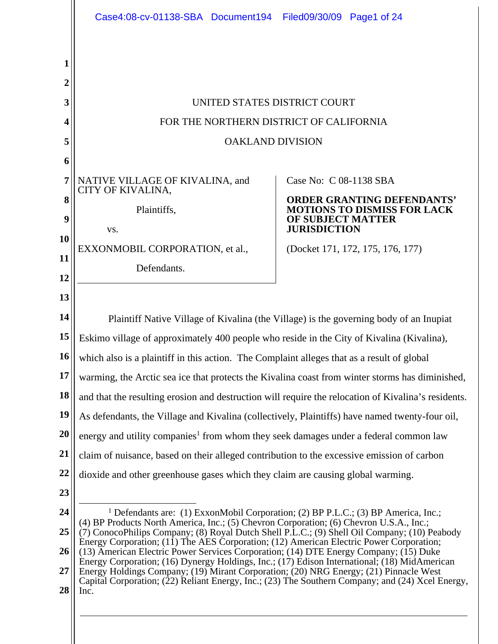|           | Case4:08-cv-01138-SBA Document194                                                                                                                                                       | Filed09/30/09 Page1 of 24                                               |  |  |
|-----------|-----------------------------------------------------------------------------------------------------------------------------------------------------------------------------------------|-------------------------------------------------------------------------|--|--|
|           |                                                                                                                                                                                         |                                                                         |  |  |
| 1         |                                                                                                                                                                                         |                                                                         |  |  |
| 2         |                                                                                                                                                                                         |                                                                         |  |  |
| 3         | UNITED STATES DISTRICT COURT                                                                                                                                                            |                                                                         |  |  |
| 4         | FOR THE NORTHERN DISTRICT OF CALIFORNIA                                                                                                                                                 |                                                                         |  |  |
| 5         | <b>OAKLAND DIVISION</b>                                                                                                                                                                 |                                                                         |  |  |
| 6         |                                                                                                                                                                                         |                                                                         |  |  |
| 7         | NATIVE VILLAGE OF KIVALINA, and<br>CITY OF KIVALINA,                                                                                                                                    | Case No: C 08-1138 SBA                                                  |  |  |
| 8         | Plaintiffs,                                                                                                                                                                             | <b>ORDER GRANTING DEFENDANTS'</b><br><b>MOTIONS TO DISMISS FOR LACK</b> |  |  |
| 9         | VS.                                                                                                                                                                                     | <b>OF SUBJECT MATTER</b><br><b>JURISDICTION</b>                         |  |  |
| 10        | EXXONMOBIL CORPORATION, et al.,                                                                                                                                                         | (Docket 171, 172, 175, 176, 177)                                        |  |  |
| 11        | Defendants.                                                                                                                                                                             |                                                                         |  |  |
| 12        |                                                                                                                                                                                         |                                                                         |  |  |
| 13        |                                                                                                                                                                                         |                                                                         |  |  |
| 14        | Plaintiff Native Village of Kivalina (the Village) is the governing body of an Inupiat                                                                                                  |                                                                         |  |  |
| 15        | Eskimo village of approximately 400 people who reside in the City of Kivalina (Kivalina),                                                                                               |                                                                         |  |  |
| <b>16</b> | which also is a plaintiff in this action. The Complaint alleges that as a result of global                                                                                              |                                                                         |  |  |
| 17        | warming, the Arctic sea ice that protects the Kivalina coast from winter storms has diminished,                                                                                         |                                                                         |  |  |
| 18        | and that the resulting erosion and destruction will require the relocation of Kivalina's residents.                                                                                     |                                                                         |  |  |
| 19<br>20  | As defendants, the Village and Kivalina (collectively, Plaintiffs) have named twenty-four oil,                                                                                          |                                                                         |  |  |
| 21        | energy and utility companies <sup>1</sup> from whom they seek damages under a federal common law                                                                                        |                                                                         |  |  |
| 22        | claim of nuisance, based on their alleged contribution to the excessive emission of carbon                                                                                              |                                                                         |  |  |
| 23        | dioxide and other greenhouse gases which they claim are causing global warming.                                                                                                         |                                                                         |  |  |
| 24        | <sup>1</sup> Defendants are: (1) ExxonMobil Corporation; (2) BP P.L.C.; (3) BP America, Inc.;                                                                                           |                                                                         |  |  |
| 25        | (4) BP Products North America, Inc.; (5) Chevron Corporation; (6) Chevron U.S.A., Inc.;<br>(7) ConocoPhilips Company; (8) Royal Dutch Shell P.L.C.; (9) Shell Oil Company; (10) Peabody |                                                                         |  |  |
| 26        | Energy Corporation; (11) The AES Corporation; (12) American Electric Power Corporation;<br>(13) American Electric Power Services Corporation; (14) DTE Energy Company; (15) Duke        |                                                                         |  |  |
| 27        | Energy Corporation; (16) Dynergy Holdings, Inc.; (17) Edison International; (18) MidAmerican<br>Energy Holdings Company; (19) Mirant Corporation; (20) NRG Energy; (21) Pinnacle West   |                                                                         |  |  |
| 28        | Capital Corporation; (22) Reliant Energy, Inc.; (23) The Southern Company; and (24) Xcel Energy,<br>Inc.                                                                                |                                                                         |  |  |
|           |                                                                                                                                                                                         |                                                                         |  |  |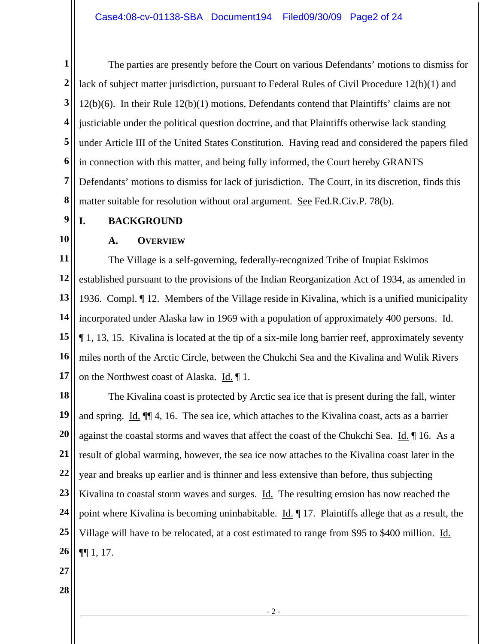**1 2 3 4 5 6 7 8**  The parties are presently before the Court on various Defendants' motions to dismiss for lack of subject matter jurisdiction, pursuant to Federal Rules of Civil Procedure 12(b)(1) and 12(b)(6). In their Rule 12(b)(1) motions, Defendants contend that Plaintiffs' claims are not justiciable under the political question doctrine, and that Plaintiffs otherwise lack standing under Article III of the United States Constitution. Having read and considered the papers filed in connection with this matter, and being fully informed, the Court hereby GRANTS Defendants' motions to dismiss for lack of jurisdiction. The Court, in its discretion, finds this matter suitable for resolution without oral argument. See Fed.R.Civ.P. 78(b).

**9 I. BACKGROUND** 

# **10**

### **A. OVERVIEW**

**11 12 13 14 15 16 17**  The Village is a self-governing, federally-recognized Tribe of Inupiat Eskimos established pursuant to the provisions of the Indian Reorganization Act of 1934, as amended in 1936. Compl. ¶ 12. Members of the Village reside in Kivalina, which is a unified municipality incorporated under Alaska law in 1969 with a population of approximately 400 persons. Id. ¶ 1, 13, 15. Kivalina is located at the tip of a six-mile long barrier reef, approximately seventy miles north of the Arctic Circle, between the Chukchi Sea and the Kivalina and Wulik Rivers on the Northwest coast of Alaska. Id. ¶ 1.

**18 19 20 21 22 23 24 25 26**  The Kivalina coast is protected by Arctic sea ice that is present during the fall, winter and spring. Id. ¶¶ 4, 16. The sea ice, which attaches to the Kivalina coast, acts as a barrier against the coastal storms and waves that affect the coast of the Chukchi Sea. Id. ¶ 16. As a result of global warming, however, the sea ice now attaches to the Kivalina coast later in the year and breaks up earlier and is thinner and less extensive than before, thus subjecting Kivalina to coastal storm waves and surges. Id. The resulting erosion has now reached the point where Kivalina is becoming uninhabitable. Id. 17. Plaintiffs allege that as a result, the Village will have to be relocated, at a cost estimated to range from \$95 to \$400 million. Id. ¶¶ 1, 17.

- **27**
- **28**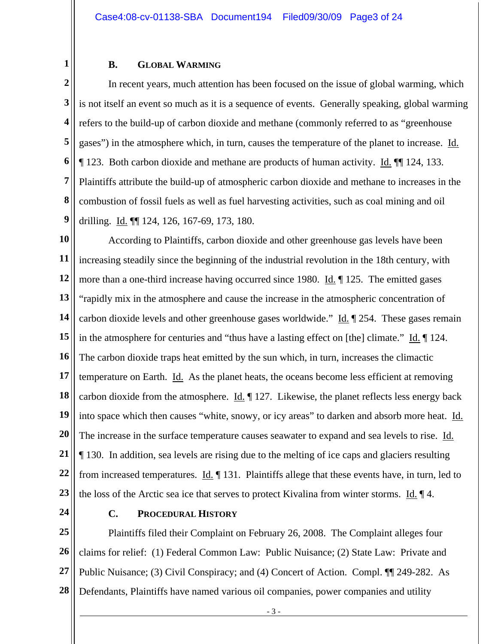#### **B. GLOBAL WARMING**

**2 3 4 5 6 7 8 9**  In recent years, much attention has been focused on the issue of global warming, which is not itself an event so much as it is a sequence of events. Generally speaking, global warming refers to the build-up of carbon dioxide and methane (commonly referred to as "greenhouse gases") in the atmosphere which, in turn, causes the temperature of the planet to increase. Id. ¶ 123. Both carbon dioxide and methane are products of human activity. Id. ¶¶ 124, 133. Plaintiffs attribute the build-up of atmospheric carbon dioxide and methane to increases in the combustion of fossil fuels as well as fuel harvesting activities, such as coal mining and oil drilling. Id. ¶¶ 124, 126, 167-69, 173, 180.

**10 11 12 13 14 15 16 17 18 19 20 21 22 23**  According to Plaintiffs, carbon dioxide and other greenhouse gas levels have been increasing steadily since the beginning of the industrial revolution in the 18th century, with more than a one-third increase having occurred since 1980. Id. 125. The emitted gases "rapidly mix in the atmosphere and cause the increase in the atmospheric concentration of carbon dioxide levels and other greenhouse gases worldwide." Id. ¶ 254. These gases remain in the atmosphere for centuries and "thus have a lasting effect on [the] climate." Id. [124.] The carbon dioxide traps heat emitted by the sun which, in turn, increases the climactic temperature on Earth. Id. As the planet heats, the oceans become less efficient at removing carbon dioxide from the atmosphere.  $\underline{Id}$ .  $\P$  127. Likewise, the planet reflects less energy back into space which then causes "white, snowy, or icy areas" to darken and absorb more heat. Id. The increase in the surface temperature causes seawater to expand and sea levels to rise. Id. ¶ 130. In addition, sea levels are rising due to the melting of ice caps and glaciers resulting from increased temperatures.  $\underline{Id}$ .  $\P$  131. Plaintiffs allege that these events have, in turn, led to the loss of the Arctic sea ice that serves to protect Kivalina from winter storms. <u>Id.</u>  $\P$ 4.

**24** 

**1** 

#### **C. PROCEDURAL HISTORY**

**25 26 27 28**  Plaintiffs filed their Complaint on February 26, 2008. The Complaint alleges four claims for relief: (1) Federal Common Law: Public Nuisance; (2) State Law: Private and Public Nuisance; (3) Civil Conspiracy; and (4) Concert of Action. Compl. ¶¶ 249-282. As Defendants, Plaintiffs have named various oil companies, power companies and utility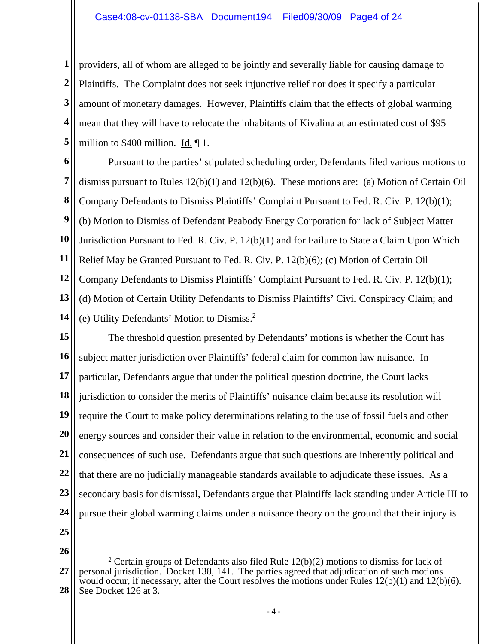## Case4:08-cv-01138-SBA Document194 Filed09/30/09 Page4 of 24

**1 2 3 4 5**  providers, all of whom are alleged to be jointly and severally liable for causing damage to Plaintiffs. The Complaint does not seek injunctive relief nor does it specify a particular amount of monetary damages. However, Plaintiffs claim that the effects of global warming mean that they will have to relocate the inhabitants of Kivalina at an estimated cost of \$95 million to \$400 million. Id. ¶ 1.

**6 7 8 9 10 11 12 13**  Pursuant to the parties' stipulated scheduling order, Defendants filed various motions to dismiss pursuant to Rules 12(b)(1) and 12(b)(6). These motions are: (a) Motion of Certain Oil Company Defendants to Dismiss Plaintiffs' Complaint Pursuant to Fed. R. Civ. P. 12(b)(1); (b) Motion to Dismiss of Defendant Peabody Energy Corporation for lack of Subject Matter Jurisdiction Pursuant to Fed. R. Civ. P. 12(b)(1) and for Failure to State a Claim Upon Which Relief May be Granted Pursuant to Fed. R. Civ. P. 12(b)(6); (c) Motion of Certain Oil Company Defendants to Dismiss Plaintiffs' Complaint Pursuant to Fed. R. Civ. P. 12(b)(1); (d) Motion of Certain Utility Defendants to Dismiss Plaintiffs' Civil Conspiracy Claim; and (e) Utility Defendants' Motion to Dismiss.2

**14** 

**15 16 17 18 19 20 21 22 23 24**  The threshold question presented by Defendants' motions is whether the Court has subject matter jurisdiction over Plaintiffs' federal claim for common law nuisance. In particular, Defendants argue that under the political question doctrine, the Court lacks jurisdiction to consider the merits of Plaintiffs' nuisance claim because its resolution will require the Court to make policy determinations relating to the use of fossil fuels and other energy sources and consider their value in relation to the environmental, economic and social consequences of such use. Defendants argue that such questions are inherently political and that there are no judicially manageable standards available to adjudicate these issues. As a secondary basis for dismissal, Defendants argue that Plaintiffs lack standing under Article III to pursue their global warming claims under a nuisance theory on the ground that their injury is

**25** 

**<sup>27</sup>  28**  <sup>2</sup> Certain groups of Defendants also filed Rule  $12(b)(2)$  motions to dismiss for lack of personal jurisdiction. Docket 138, 141. The parties agreed that adjudication of such motions would occur, if necessary, after the Court resolves the motions under Rules  $12(b)(1)$  and  $12(b)(6)$ . See Docket 126 at 3.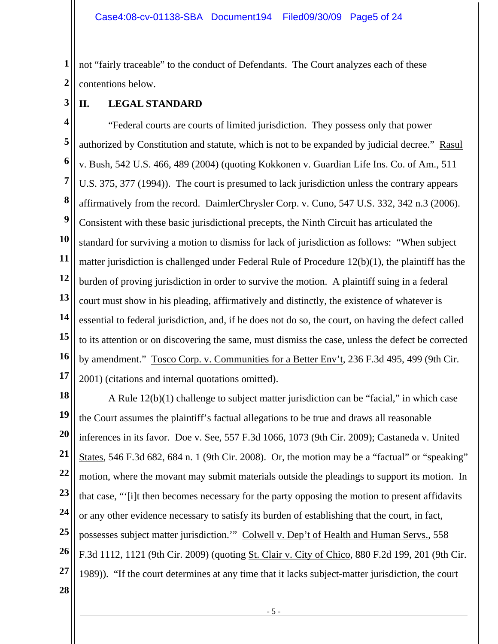**1 2**  not "fairly traceable" to the conduct of Defendants. The Court analyzes each of these contentions below.

**3 II. LEGAL STANDARD** 

**4 5 6 7 8 9 10 11 12 13 14 15 16 17**  "Federal courts are courts of limited jurisdiction. They possess only that power authorized by Constitution and statute, which is not to be expanded by judicial decree." Rasul v. Bush, 542 U.S. 466, 489 (2004) (quoting Kokkonen v. Guardian Life Ins. Co. of Am., 511 U.S. 375, 377 (1994)). The court is presumed to lack jurisdiction unless the contrary appears affirmatively from the record. DaimlerChrysler Corp. v. Cuno, 547 U.S. 332, 342 n.3 (2006). Consistent with these basic jurisdictional precepts, the Ninth Circuit has articulated the standard for surviving a motion to dismiss for lack of jurisdiction as follows: "When subject matter jurisdiction is challenged under Federal Rule of Procedure 12(b)(1), the plaintiff has the burden of proving jurisdiction in order to survive the motion. A plaintiff suing in a federal court must show in his pleading, affirmatively and distinctly, the existence of whatever is essential to federal jurisdiction, and, if he does not do so, the court, on having the defect called to its attention or on discovering the same, must dismiss the case, unless the defect be corrected by amendment." Tosco Corp. v. Communities for a Better Env't, 236 F.3d 495, 499 (9th Cir. 2001) (citations and internal quotations omitted).

**18 19 20 21 22 23 24 25 26 27**  A Rule 12(b)(1) challenge to subject matter jurisdiction can be "facial," in which case the Court assumes the plaintiff's factual allegations to be true and draws all reasonable inferences in its favor. Doe v. See, 557 F.3d 1066, 1073 (9th Cir. 2009); Castaneda v. United States, 546 F.3d 682, 684 n. 1 (9th Cir. 2008). Or, the motion may be a "factual" or "speaking" motion, where the movant may submit materials outside the pleadings to support its motion. In that case, "'[i]t then becomes necessary for the party opposing the motion to present affidavits or any other evidence necessary to satisfy its burden of establishing that the court, in fact, possesses subject matter jurisdiction.'" Colwell v. Dep't of Health and Human Servs., 558 F.3d 1112, 1121 (9th Cir. 2009) (quoting St. Clair v. City of Chico, 880 F.2d 199, 201 (9th Cir. 1989)). "If the court determines at any time that it lacks subject-matter jurisdiction, the court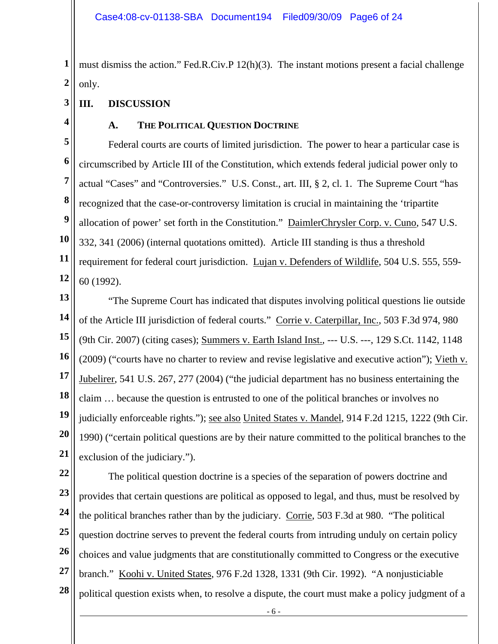**1 2**  must dismiss the action." Fed.R.Civ.P 12(h)(3). The instant motions present a facial challenge only.

- **3 III. DISCUSSION**
- **4**

### **A. THE POLITICAL QUESTION DOCTRINE**

**5 6 7 8 9 10 11 12**  Federal courts are courts of limited jurisdiction. The power to hear a particular case is circumscribed by Article III of the Constitution, which extends federal judicial power only to actual "Cases" and "Controversies." U.S. Const., art. III, § 2, cl. 1. The Supreme Court "has recognized that the case-or-controversy limitation is crucial in maintaining the 'tripartite allocation of power' set forth in the Constitution." DaimlerChrysler Corp. v. Cuno, 547 U.S. 332, 341 (2006) (internal quotations omitted). Article III standing is thus a threshold requirement for federal court jurisdiction. Lujan v. Defenders of Wildlife, 504 U.S. 555, 559- 60 (1992).

**13 14 15 16 17 18 19 20 21**  "The Supreme Court has indicated that disputes involving political questions lie outside of the Article III jurisdiction of federal courts." Corrie v. Caterpillar, Inc., 503 F.3d 974, 980 (9th Cir. 2007) (citing cases); Summers v. Earth Island Inst., --- U.S. ---, 129 S.Ct. 1142, 1148 (2009) ("courts have no charter to review and revise legislative and executive action"); Vieth v. Jubelirer, 541 U.S. 267, 277 (2004) ("the judicial department has no business entertaining the claim … because the question is entrusted to one of the political branches or involves no judicially enforceable rights."); see also United States v. Mandel, 914 F.2d 1215, 1222 (9th Cir. 1990) ("certain political questions are by their nature committed to the political branches to the exclusion of the judiciary.").

**22 23 24 25 26 27 28**  The political question doctrine is a species of the separation of powers doctrine and provides that certain questions are political as opposed to legal, and thus, must be resolved by the political branches rather than by the judiciary. Corrie, 503 F.3d at 980. "The political question doctrine serves to prevent the federal courts from intruding unduly on certain policy choices and value judgments that are constitutionally committed to Congress or the executive branch." Koohi v. United States, 976 F.2d 1328, 1331 (9th Cir. 1992). "A nonjusticiable political question exists when, to resolve a dispute, the court must make a policy judgment of a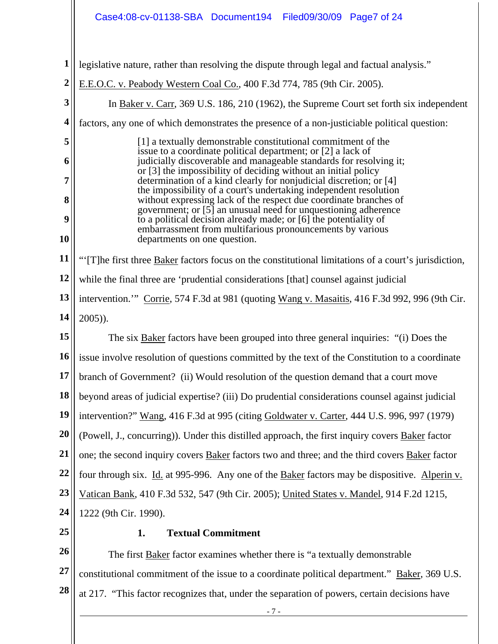|                | Case4:08-cv-01138-SBA Document194<br>Filed09/30/09 Page7 of 24                                                                         |  |  |  |  |  |
|----------------|----------------------------------------------------------------------------------------------------------------------------------------|--|--|--|--|--|
|                |                                                                                                                                        |  |  |  |  |  |
| 1              | legislative nature, rather than resolving the dispute through legal and factual analysis."                                             |  |  |  |  |  |
| $\overline{2}$ | E.E.O.C. v. Peabody Western Coal Co., 400 F.3d 774, 785 (9th Cir. 2005).                                                               |  |  |  |  |  |
| 3              | In Baker v. Carr, 369 U.S. 186, 210 (1962), the Supreme Court set forth six independent                                                |  |  |  |  |  |
| 4              | factors, any one of which demonstrates the presence of a non-justiciable political question:                                           |  |  |  |  |  |
| 5              | [1] a textually demonstrable constitutional commitment of the                                                                          |  |  |  |  |  |
| 6              | issue to a coordinate political department; or [2] a lack of<br>judicially discoverable and manageable standards for resolving it;     |  |  |  |  |  |
| 7              | or [3] the impossibility of deciding without an initial policy<br>determination of a kind clearly for nonjudicial discretion; or [4]   |  |  |  |  |  |
| 8              | the impossibility of a court's undertaking independent resolution<br>without expressing lack of the respect due coordinate branches of |  |  |  |  |  |
| 9              | government; or [5] an unusual need for unquestioning adherence<br>to a political decision already made; or [6] the potentiality of     |  |  |  |  |  |
| 10             | embarrassment from multifarious pronouncements by various<br>departments on one question.                                              |  |  |  |  |  |
| 11             | "'[T]he first three <b>Baker</b> factors focus on the constitutional limitations of a court's jurisdiction,                            |  |  |  |  |  |
| 12             | while the final three are 'prudential considerations [that] counsel against judicial                                                   |  |  |  |  |  |
| 13             | intervention." Corrie, 574 F.3d at 981 (quoting Wang v. Masaitis, 416 F.3d 992, 996 (9th Cir.                                          |  |  |  |  |  |
| 14             | $2005$ ).                                                                                                                              |  |  |  |  |  |
| 15             | The six Baker factors have been grouped into three general inquiries: "(i) Does the                                                    |  |  |  |  |  |
| 16             | issue involve resolution of questions committed by the text of the Constitution to a coordinate                                        |  |  |  |  |  |
| 17             | branch of Government? (ii) Would resolution of the question demand that a court move                                                   |  |  |  |  |  |
| 18             | beyond areas of judicial expertise? (iii) Do prudential considerations counsel against judicial                                        |  |  |  |  |  |
| 19             | intervention?" Wang, 416 F.3d at 995 (citing Goldwater v. Carter, 444 U.S. 996, 997 (1979)                                             |  |  |  |  |  |
| 20             | (Powell, J., concurring)). Under this distilled approach, the first inquiry covers Baker factor                                        |  |  |  |  |  |
| 21             | one; the second inquiry covers Baker factors two and three; and the third covers Baker factor                                          |  |  |  |  |  |
| 22             | four through six. Id. at 995-996. Any one of the Baker factors may be dispositive. Alperin v.                                          |  |  |  |  |  |
| 23             | Vatican Bank, 410 F.3d 532, 547 (9th Cir. 2005); United States v. Mandel, 914 F.2d 1215,                                               |  |  |  |  |  |
| 24             | 1222 (9th Cir. 1990).                                                                                                                  |  |  |  |  |  |
| 25             | <b>Textual Commitment</b><br>1.                                                                                                        |  |  |  |  |  |
| 26             | The first <b>Baker</b> factor examines whether there is "a textually demonstrable                                                      |  |  |  |  |  |
| 27             | constitutional commitment of the issue to a coordinate political department." Baker, 369 U.S.                                          |  |  |  |  |  |
| 28             | at 217. "This factor recognizes that, under the separation of powers, certain decisions have                                           |  |  |  |  |  |
|                | $-7-$                                                                                                                                  |  |  |  |  |  |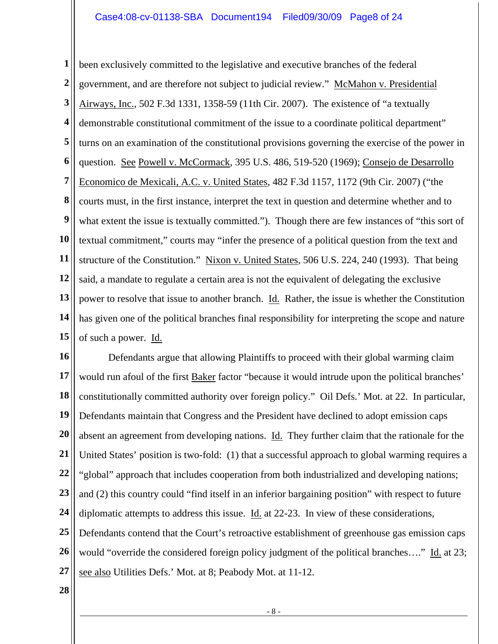**1 2 3 4 5 6 7 8 9 10 11 12 13 14 15**  been exclusively committed to the legislative and executive branches of the federal government, and are therefore not subject to judicial review." McMahon v. Presidential Airways, Inc., 502 F.3d 1331, 1358-59 (11th Cir. 2007). The existence of "a textually demonstrable constitutional commitment of the issue to a coordinate political department" turns on an examination of the constitutional provisions governing the exercise of the power in question. See Powell v. McCormack, 395 U.S. 486, 519-520 (1969); Consejo de Desarrollo Economico de Mexicali, A.C. v. United States, 482 F.3d 1157, 1172 (9th Cir. 2007) ("the courts must, in the first instance, interpret the text in question and determine whether and to what extent the issue is textually committed."). Though there are few instances of "this sort of textual commitment," courts may "infer the presence of a political question from the text and structure of the Constitution." Nixon v. United States, 506 U.S. 224, 240 (1993). That being said, a mandate to regulate a certain area is not the equivalent of delegating the exclusive power to resolve that issue to another branch. Id. Rather, the issue is whether the Constitution has given one of the political branches final responsibility for interpreting the scope and nature of such a power. Id.

**16 17 18 19 20 21 22 23 24 25 26 27**  Defendants argue that allowing Plaintiffs to proceed with their global warming claim would run afoul of the first Baker factor "because it would intrude upon the political branches' constitutionally committed authority over foreign policy." Oil Defs.' Mot. at 22. In particular, Defendants maintain that Congress and the President have declined to adopt emission caps absent an agreement from developing nations. Id. They further claim that the rationale for the United States' position is two-fold: (1) that a successful approach to global warming requires a "global" approach that includes cooperation from both industrialized and developing nations; and (2) this country could "find itself in an inferior bargaining position" with respect to future diplomatic attempts to address this issue. Id. at 22-23. In view of these considerations, Defendants contend that the Court's retroactive establishment of greenhouse gas emission caps would "override the considered foreign policy judgment of the political branches...." Id. at 23; see also Utilities Defs.' Mot. at 8; Peabody Mot. at 11-12.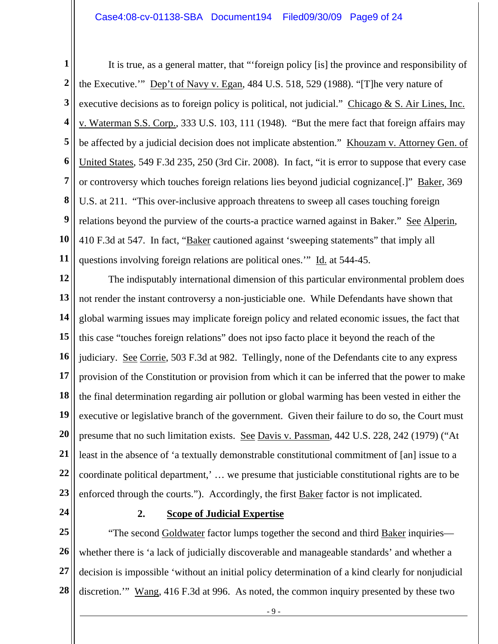### Case4:08-cv-01138-SBA Document194 Filed09/30/09 Page9 of 24

**1 2 3 4 5 6 7 8 9 10 11**  It is true, as a general matter, that "'foreign policy [is] the province and responsibility of the Executive.'" Dep't of Navy v. Egan, 484 U.S. 518, 529 (1988). "[T]he very nature of executive decisions as to foreign policy is political, not judicial." Chicago & S. Air Lines, Inc. v. Waterman S.S. Corp., 333 U.S. 103, 111 (1948). "But the mere fact that foreign affairs may be affected by a judicial decision does not implicate abstention." Khouzam v. Attorney Gen. of United States, 549 F.3d 235, 250 (3rd Cir. 2008). In fact, "it is error to suppose that every case or controversy which touches foreign relations lies beyond judicial cognizance[.]" Baker, 369 U.S. at 211. "This over-inclusive approach threatens to sweep all cases touching foreign relations beyond the purview of the courts-a practice warned against in Baker." See Alperin, 410 F.3d at 547. In fact, "Baker cautioned against 'sweeping statements" that imply all questions involving foreign relations are political ones.'" Id. at 544-45.

**12 13 14 15 16 17 18 19 20 21 22 23**  The indisputably international dimension of this particular environmental problem does not render the instant controversy a non-justiciable one. While Defendants have shown that global warming issues may implicate foreign policy and related economic issues, the fact that this case "touches foreign relations" does not ipso facto place it beyond the reach of the judiciary. See Corrie, 503 F.3d at 982. Tellingly, none of the Defendants cite to any express provision of the Constitution or provision from which it can be inferred that the power to make the final determination regarding air pollution or global warming has been vested in either the executive or legislative branch of the government. Given their failure to do so, the Court must presume that no such limitation exists. See Davis v. Passman, 442 U.S. 228, 242 (1979) ("At least in the absence of 'a textually demonstrable constitutional commitment of [an] issue to a coordinate political department,' … we presume that justiciable constitutional rights are to be enforced through the courts."). Accordingly, the first Baker factor is not implicated.

**24** 

### **2. Scope of Judicial Expertise**

**25 26 27 28**  "The second Goldwater factor lumps together the second and third Baker inquiries whether there is 'a lack of judicially discoverable and manageable standards' and whether a decision is impossible 'without an initial policy determination of a kind clearly for nonjudicial discretion.'" Wang, 416 F.3d at 996. As noted, the common inquiry presented by these two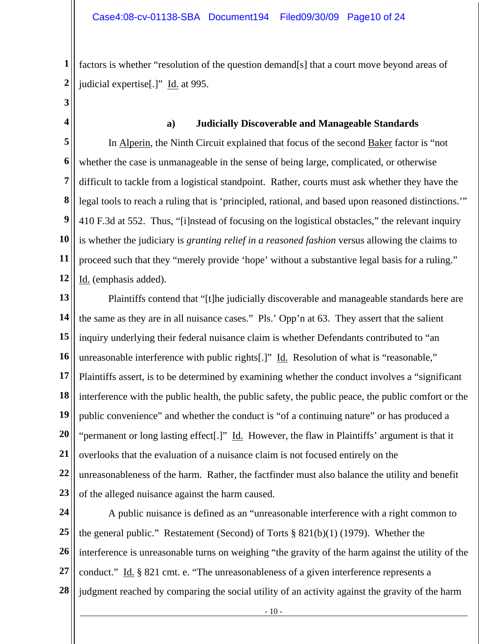**1 2**  factors is whether "resolution of the question demand[s] that a court move beyond areas of judicial expertise[.]" Id. at 995.

**3 4** 

## **a) Judicially Discoverable and Manageable Standards**

**5 6 7 8 9 10 11 12**  In Alperin, the Ninth Circuit explained that focus of the second Baker factor is "not whether the case is unmanageable in the sense of being large, complicated, or otherwise difficult to tackle from a logistical standpoint. Rather, courts must ask whether they have the legal tools to reach a ruling that is 'principled, rational, and based upon reasoned distinctions.'" 410 F.3d at 552. Thus, "[i]nstead of focusing on the logistical obstacles," the relevant inquiry is whether the judiciary is *granting relief in a reasoned fashion* versus allowing the claims to proceed such that they "merely provide 'hope' without a substantive legal basis for a ruling." Id. (emphasis added).

**13 14 15 16 17 18 19 20 21 22 23**  Plaintiffs contend that "[t]he judicially discoverable and manageable standards here are the same as they are in all nuisance cases." Pls.' Opp'n at 63. They assert that the salient inquiry underlying their federal nuisance claim is whether Defendants contributed to "an unreasonable interference with public rights[.]" Id. Resolution of what is "reasonable," Plaintiffs assert, is to be determined by examining whether the conduct involves a "significant interference with the public health, the public safety, the public peace, the public comfort or the public convenience" and whether the conduct is "of a continuing nature" or has produced a "permanent or long lasting effect[.]" Id. However, the flaw in Plaintiffs' argument is that it overlooks that the evaluation of a nuisance claim is not focused entirely on the unreasonableness of the harm. Rather, the factfinder must also balance the utility and benefit of the alleged nuisance against the harm caused.

**24 25 26 27 28**  A public nuisance is defined as an "unreasonable interference with a right common to the general public." Restatement (Second) of Torts  $\S 821(b)(1)$  (1979). Whether the interference is unreasonable turns on weighing "the gravity of the harm against the utility of the conduct." Id. § 821 cmt. e. "The unreasonableness of a given interference represents a judgment reached by comparing the social utility of an activity against the gravity of the harm

- 10 -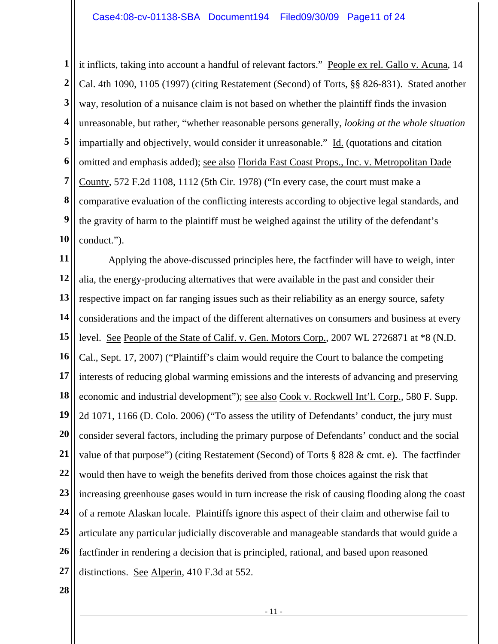**1 2 3 4 5 6 7 8 9 10**  it inflicts, taking into account a handful of relevant factors." People ex rel. Gallo v. Acuna, 14 Cal. 4th 1090, 1105 (1997) (citing Restatement (Second) of Torts, §§ 826-831). Stated another way, resolution of a nuisance claim is not based on whether the plaintiff finds the invasion unreasonable, but rather, "whether reasonable persons generally, *looking at the whole situation* impartially and objectively, would consider it unreasonable." Id. (quotations and citation omitted and emphasis added); see also Florida East Coast Props., Inc. v. Metropolitan Dade County, 572 F.2d 1108, 1112 (5th Cir. 1978) ("In every case, the court must make a comparative evaluation of the conflicting interests according to objective legal standards, and the gravity of harm to the plaintiff must be weighed against the utility of the defendant's conduct.").

**11 12 13 14 15 16 17 18 19 20 21 22 23 24 25 26 27**  Applying the above-discussed principles here, the factfinder will have to weigh, inter alia, the energy-producing alternatives that were available in the past and consider their respective impact on far ranging issues such as their reliability as an energy source, safety considerations and the impact of the different alternatives on consumers and business at every level. See People of the State of Calif. v. Gen. Motors Corp., 2007 WL 2726871 at \*8 (N.D. Cal., Sept. 17, 2007) ("Plaintiff's claim would require the Court to balance the competing interests of reducing global warming emissions and the interests of advancing and preserving economic and industrial development"); <u>see also Cook v. Rockwell Int'l. Corp.</u>, 580 F. Supp. 2d 1071, 1166 (D. Colo. 2006) ("To assess the utility of Defendants' conduct, the jury must consider several factors, including the primary purpose of Defendants' conduct and the social value of that purpose") (citing Restatement (Second) of Torts § 828 & cmt. e). The factfinder would then have to weigh the benefits derived from those choices against the risk that increasing greenhouse gases would in turn increase the risk of causing flooding along the coast of a remote Alaskan locale. Plaintiffs ignore this aspect of their claim and otherwise fail to articulate any particular judicially discoverable and manageable standards that would guide a factfinder in rendering a decision that is principled, rational, and based upon reasoned distinctions. See Alperin, 410 F.3d at 552.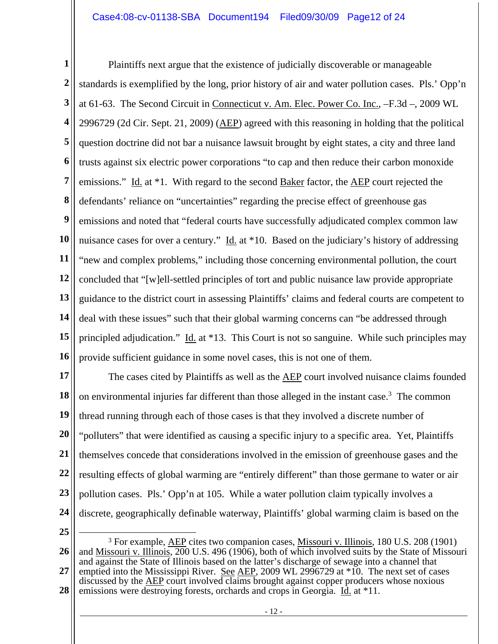**1 2 3 4 5 6 7 8 9 10 11 12 13 14 15 16**  Plaintiffs next argue that the existence of judicially discoverable or manageable standards is exemplified by the long, prior history of air and water pollution cases. Pls.' Opp'n at 61-63. The Second Circuit in Connecticut v. Am. Elec. Power Co. Inc., –F.3d –, 2009 WL 2996729 (2d Cir. Sept. 21, 2009) (AEP) agreed with this reasoning in holding that the political question doctrine did not bar a nuisance lawsuit brought by eight states, a city and three land trusts against six electric power corporations "to cap and then reduce their carbon monoxide emissions." Id. at \*1. With regard to the second Baker factor, the AEP court rejected the defendants' reliance on "uncertainties" regarding the precise effect of greenhouse gas emissions and noted that "federal courts have successfully adjudicated complex common law nuisance cases for over a century."  $\underline{Id}$  at \*10. Based on the judiciary's history of addressing "new and complex problems," including those concerning environmental pollution, the court concluded that "[w]ell-settled principles of tort and public nuisance law provide appropriate guidance to the district court in assessing Plaintiffs' claims and federal courts are competent to deal with these issues" such that their global warming concerns can "be addressed through principled adjudication." Id. at  $*13$ . This Court is not so sanguine. While such principles may provide sufficient guidance in some novel cases, this is not one of them.

**17 18 19 20 21 22 23 24**  The cases cited by Plaintiffs as well as the AEP court involved nuisance claims founded on environmental injuries far different than those alleged in the instant case.<sup>3</sup> The common thread running through each of those cases is that they involved a discrete number of "polluters" that were identified as causing a specific injury to a specific area. Yet, Plaintiffs themselves concede that considerations involved in the emission of greenhouse gases and the resulting effects of global warming are "entirely different" than those germane to water or air pollution cases. Pls.' Opp'n at 105. While a water pollution claim typically involves a discrete, geographically definable waterway, Plaintiffs' global warming claim is based on the

**<sup>26</sup>  27 28**  3 For example, AEP cites two companion cases, Missouri v. Illinois, 180 U.S. 208 (1901) and Missouri v. Illinois, 200 U.S. 496 (1906), both of which involved suits by the State of Missouri and against the State of Illinois based on the latter's discharge of sewage into a channel that emptied into the Mississippi River. See AEP, 2009 WL 2996729 at  $*10$ . The next set of cases discussed by the AEP court involved claims brought against copper producers whose noxious emissions were destroying forests, orchards and crops in Georgia. Id. at \*11.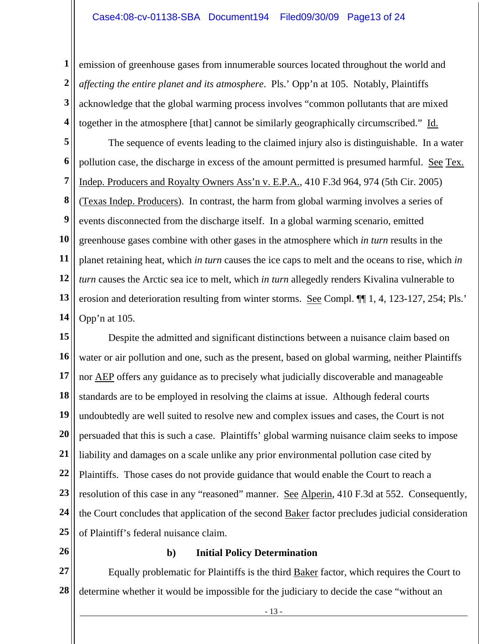**1 2 3 4**  emission of greenhouse gases from innumerable sources located throughout the world and *affecting the entire planet and its atmosphere*. Pls.' Opp'n at 105. Notably, Plaintiffs acknowledge that the global warming process involves "common pollutants that are mixed together in the atmosphere [that] cannot be similarly geographically circumscribed." Id.

**5 6 7 8 9 10 11 12 13 14**  The sequence of events leading to the claimed injury also is distinguishable. In a water pollution case, the discharge in excess of the amount permitted is presumed harmful. See Tex. Indep. Producers and Royalty Owners Ass'n v. E.P.A., 410 F.3d 964, 974 (5th Cir. 2005) (Texas Indep. Producers). In contrast, the harm from global warming involves a series of events disconnected from the discharge itself. In a global warming scenario, emitted greenhouse gases combine with other gases in the atmosphere which *in turn* results in the planet retaining heat, which *in turn* causes the ice caps to melt and the oceans to rise, which *in turn* causes the Arctic sea ice to melt, which *in turn* allegedly renders Kivalina vulnerable to erosion and deterioration resulting from winter storms. See Compl. ¶¶ 1, 4, 123-127, 254; Pls.' Opp'n at 105.

**15 16 17 18 19 20 21 22 23 24 25**  Despite the admitted and significant distinctions between a nuisance claim based on water or air pollution and one, such as the present, based on global warming, neither Plaintiffs nor AEP offers any guidance as to precisely what judicially discoverable and manageable standards are to be employed in resolving the claims at issue. Although federal courts undoubtedly are well suited to resolve new and complex issues and cases, the Court is not persuaded that this is such a case. Plaintiffs' global warming nuisance claim seeks to impose liability and damages on a scale unlike any prior environmental pollution case cited by Plaintiffs. Those cases do not provide guidance that would enable the Court to reach a resolution of this case in any "reasoned" manner. See Alperin, 410 F.3d at 552. Consequently, the Court concludes that application of the second Baker factor precludes judicial consideration of Plaintiff's federal nuisance claim.

**26** 

# **b) Initial Policy Determination**

**27 28**  Equally problematic for Plaintiffs is the third Baker factor, which requires the Court to determine whether it would be impossible for the judiciary to decide the case "without an

- 13 -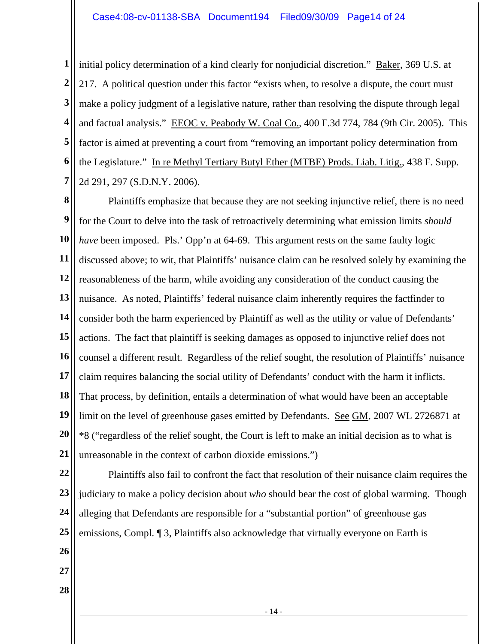**1 2 3 4 5 6 7**  initial policy determination of a kind clearly for nonjudicial discretion." Baker, 369 U.S. at 217. A political question under this factor "exists when, to resolve a dispute, the court must make a policy judgment of a legislative nature, rather than resolving the dispute through legal and factual analysis." EEOC v. Peabody W. Coal Co., 400 F.3d 774, 784 (9th Cir. 2005). This factor is aimed at preventing a court from "removing an important policy determination from the Legislature." In re Methyl Tertiary Butyl Ether (MTBE) Prods. Liab. Litig., 438 F. Supp. 2d 291, 297 (S.D.N.Y. 2006).

**8 9 10 11 12 13 14 15 16 17 18 19 20 21**  Plaintiffs emphasize that because they are not seeking injunctive relief, there is no need for the Court to delve into the task of retroactively determining what emission limits *should have* been imposed. Pls.' Opp'n at 64-69. This argument rests on the same faulty logic discussed above; to wit, that Plaintiffs' nuisance claim can be resolved solely by examining the reasonableness of the harm, while avoiding any consideration of the conduct causing the nuisance. As noted, Plaintiffs' federal nuisance claim inherently requires the factfinder to consider both the harm experienced by Plaintiff as well as the utility or value of Defendants' actions. The fact that plaintiff is seeking damages as opposed to injunctive relief does not counsel a different result. Regardless of the relief sought, the resolution of Plaintiffs' nuisance claim requires balancing the social utility of Defendants' conduct with the harm it inflicts. That process, by definition, entails a determination of what would have been an acceptable limit on the level of greenhouse gases emitted by Defendants. See GM, 2007 WL 2726871 at \*8 ("regardless of the relief sought, the Court is left to make an initial decision as to what is unreasonable in the context of carbon dioxide emissions.")

**22 23 24 25 26 27**  Plaintiffs also fail to confront the fact that resolution of their nuisance claim requires the judiciary to make a policy decision about *who* should bear the cost of global warming. Though alleging that Defendants are responsible for a "substantial portion" of greenhouse gas emissions, Compl. ¶ 3, Plaintiffs also acknowledge that virtually everyone on Earth is

- 14 -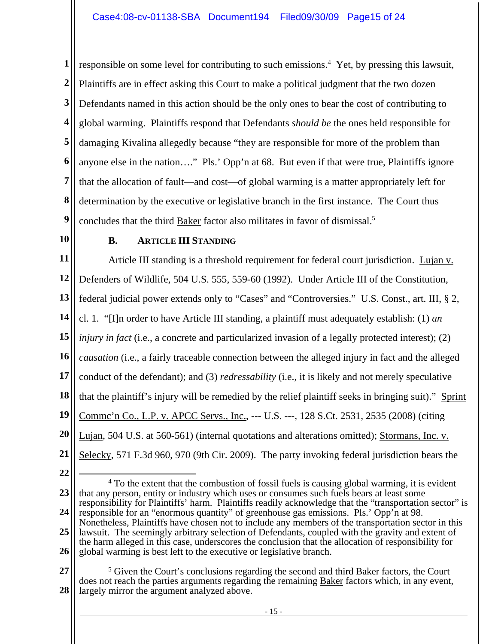**1 2 3 4 5 6 7 8 9**  responsible on some level for contributing to such emissions.<sup>4</sup> Yet, by pressing this lawsuit, Plaintiffs are in effect asking this Court to make a political judgment that the two dozen Defendants named in this action should be the only ones to bear the cost of contributing to global warming. Plaintiffs respond that Defendants *should be* the ones held responsible for damaging Kivalina allegedly because "they are responsible for more of the problem than anyone else in the nation…." Pls.' Opp'n at 68. But even if that were true, Plaintiffs ignore that the allocation of fault—and cost—of global warming is a matter appropriately left for determination by the executive or legislative branch in the first instance. The Court thus concludes that the third Baker factor also militates in favor of dismissal.5

**10** 

### **B. ARTICLE III STANDING**

**11 12 13 14 15 16 17 18 19 20 21**  Article III standing is a threshold requirement for federal court jurisdiction. Lujan v. Defenders of Wildlife, 504 U.S. 555, 559-60 (1992). Under Article III of the Constitution, federal judicial power extends only to "Cases" and "Controversies." U.S. Const., art. III, § 2, cl. 1. "[I]n order to have Article III standing, a plaintiff must adequately establish: (1) *an injury in fact* (i.e., a concrete and particularized invasion of a legally protected interest); (2) *causation* (i.e., a fairly traceable connection between the alleged injury in fact and the alleged conduct of the defendant); and (3) *redressability* (i.e., it is likely and not merely speculative that the plaintiff's injury will be remedied by the relief plaintiff seeks in bringing suit)." Sprint Commc'n Co., L.P. v. APCC Servs., Inc., --- U.S. ---, 128 S.Ct. 2531, 2535 (2008) (citing Lujan, 504 U.S. at 560-561) (internal quotations and alterations omitted); Stormans, Inc. v. Selecky, 571 F.3d 960, 970 (9th Cir. 2009). The party invoking federal jurisdiction bears the

**22** 

**23 24 25 26**  4 To the extent that the combustion of fossil fuels is causing global warming, it is evident that any person, entity or industry which uses or consumes such fuels bears at least some responsibility for Plaintiffs' harm. Plaintiffs readily acknowledge that the "transportation sector" is responsible for an "enormous quantity" of greenhouse gas emissions. Pls.' Opp'n at 98. Nonetheless, Plaintiffs have chosen not to include any members of the transportation sector in this lawsuit. The seemingly arbitrary selection of Defendants, coupled with the gravity and extent of the harm alleged in this case, underscores the conclusion that the allocation of responsibility for global warming is best left to the executive or legislative branch.

**27 28**  <sup>5</sup> Given the Court's conclusions regarding the second and third **Baker** factors, the Court does not reach the parties arguments regarding the remaining **Baker** factors which, in any event, largely mirror the argument analyzed above.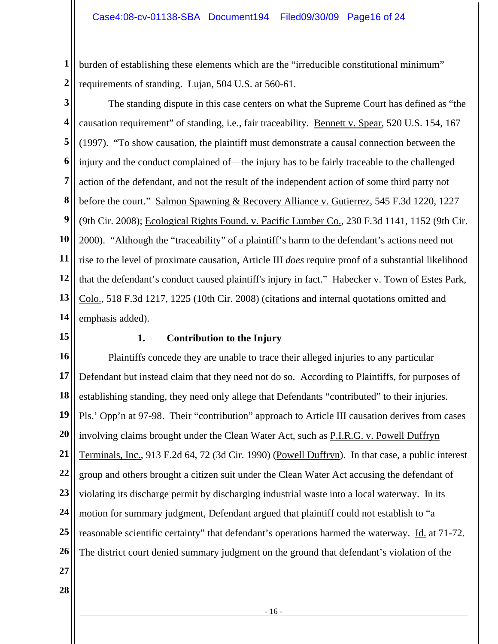**1 2**  burden of establishing these elements which are the "irreducible constitutional minimum" requirements of standing. Lujan, 504 U.S. at 560-61.

**3 4 5 6 7 8 9 10 11 12 13 14**  The standing dispute in this case centers on what the Supreme Court has defined as "the causation requirement" of standing, i.e., fair traceability. Bennett v. Spear, 520 U.S. 154, 167 (1997). "To show causation, the plaintiff must demonstrate a causal connection between the injury and the conduct complained of—the injury has to be fairly traceable to the challenged action of the defendant, and not the result of the independent action of some third party not before the court." Salmon Spawning & Recovery Alliance v. Gutierrez, 545 F.3d 1220, 1227 (9th Cir. 2008); Ecological Rights Found. v. Pacific Lumber Co., 230 F.3d 1141, 1152 (9th Cir. 2000). "Although the "traceability" of a plaintiff's harm to the defendant's actions need not rise to the level of proximate causation, Article III *does* require proof of a substantial likelihood that the defendant's conduct caused plaintiff's injury in fact." Habecker v. Town of Estes Park, Colo., 518 F.3d 1217, 1225 (10th Cir. 2008) (citations and internal quotations omitted and emphasis added).

**15** 

# **1. Contribution to the Injury**

**16 17 18 19 20 21 22 23 24 25 26 27**  Plaintiffs concede they are unable to trace their alleged injuries to any particular Defendant but instead claim that they need not do so. According to Plaintiffs, for purposes of establishing standing, they need only allege that Defendants "contributed" to their injuries. Pls.' Opp'n at 97-98. Their "contribution" approach to Article III causation derives from cases involving claims brought under the Clean Water Act, such as P.I.R.G. v. Powell Duffryn Terminals, Inc., 913 F.2d 64, 72 (3d Cir. 1990) (Powell Duffryn). In that case, a public interest group and others brought a citizen suit under the Clean Water Act accusing the defendant of violating its discharge permit by discharging industrial waste into a local waterway. In its motion for summary judgment, Defendant argued that plaintiff could not establish to "a reasonable scientific certainty" that defendant's operations harmed the waterway. Id. at 71-72. The district court denied summary judgment on the ground that defendant's violation of the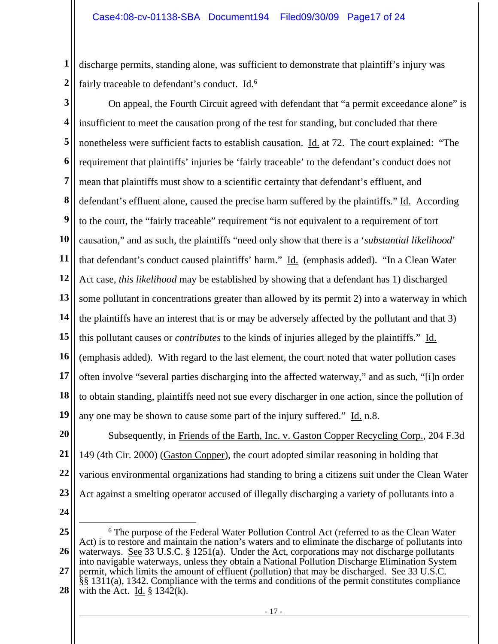**1 2**  discharge permits, standing alone, was sufficient to demonstrate that plaintiff's injury was fairly traceable to defendant's conduct.  $\underline{Id.}^6$ 

**3 4 5 6 7 8 9 10 11 12 13 14 15 16 17 18 19**  On appeal, the Fourth Circuit agreed with defendant that "a permit exceedance alone" is insufficient to meet the causation prong of the test for standing, but concluded that there nonetheless were sufficient facts to establish causation. Id. at 72. The court explained: "The requirement that plaintiffs' injuries be 'fairly traceable' to the defendant's conduct does not mean that plaintiffs must show to a scientific certainty that defendant's effluent, and defendant's effluent alone, caused the precise harm suffered by the plaintiffs." Id. According to the court, the "fairly traceable" requirement "is not equivalent to a requirement of tort causation," and as such, the plaintiffs "need only show that there is a '*substantial likelihood*' that defendant's conduct caused plaintiffs' harm." Id. (emphasis added). "In a Clean Water Act case, *this likelihood* may be established by showing that a defendant has 1) discharged some pollutant in concentrations greater than allowed by its permit 2) into a waterway in which the plaintiffs have an interest that is or may be adversely affected by the pollutant and that 3) this pollutant causes or *contributes* to the kinds of injuries alleged by the plaintiffs." Id. (emphasis added). With regard to the last element, the court noted that water pollution cases often involve "several parties discharging into the affected waterway," and as such, "[i]n order to obtain standing, plaintiffs need not sue every discharger in one action, since the pollution of any one may be shown to cause some part of the injury suffered." Id. n.8.

**20 21 22 23**  Subsequently, in Friends of the Earth, Inc. v. Gaston Copper Recycling Corp., 204 F.3d 149 (4th Cir. 2000) (Gaston Copper), the court adopted similar reasoning in holding that various environmental organizations had standing to bring a citizens suit under the Clean Water Act against a smelting operator accused of illegally discharging a variety of pollutants into a

**<sup>25</sup>  26 27 28**  6 The purpose of the Federal Water Pollution Control Act (referred to as the Clean Water Act) is to restore and maintain the nation's waters and to eliminate the discharge of pollutants into waterways. See 33 U.S.C. § 1251(a). Under the Act, corporations may not discharge pollutants into navigable waterways, unless they obtain a National Pollution Discharge Elimination System permit, which limits the amount of effluent (pollution) that may be discharged. See 33 U.S.C. §§ 1311(a), 1342. Compliance with the terms and conditions of the permit constitutes compliance with the Act. Id.  $\S$  1342(k).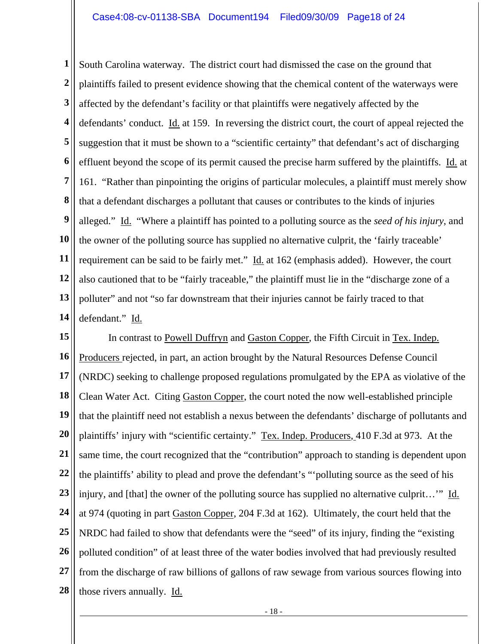**1 2 3 4 5 6 7 8 9 10 11 12 13 14**  South Carolina waterway. The district court had dismissed the case on the ground that plaintiffs failed to present evidence showing that the chemical content of the waterways were affected by the defendant's facility or that plaintiffs were negatively affected by the defendants' conduct. Id. at 159. In reversing the district court, the court of appeal rejected the suggestion that it must be shown to a "scientific certainty" that defendant's act of discharging effluent beyond the scope of its permit caused the precise harm suffered by the plaintiffs. Id. at 161. "Rather than pinpointing the origins of particular molecules, a plaintiff must merely show that a defendant discharges a pollutant that causes or contributes to the kinds of injuries alleged." Id. "Where a plaintiff has pointed to a polluting source as the *seed of his injury*, and the owner of the polluting source has supplied no alternative culprit, the 'fairly traceable' requirement can be said to be fairly met." Id. at 162 (emphasis added). However, the court also cautioned that to be "fairly traceable," the plaintiff must lie in the "discharge zone of a polluter" and not "so far downstream that their injuries cannot be fairly traced to that defendant." Id.

**15 16 17 18 19 20 21 22 23 24 25 26 27 28**  In contrast to Powell Duffryn and Gaston Copper, the Fifth Circuit in Tex. Indep. Producers rejected, in part, an action brought by the Natural Resources Defense Council (NRDC) seeking to challenge proposed regulations promulgated by the EPA as violative of the Clean Water Act. Citing Gaston Copper, the court noted the now well-established principle that the plaintiff need not establish a nexus between the defendants' discharge of pollutants and plaintiffs' injury with "scientific certainty." Tex. Indep. Producers, 410 F.3d at 973. At the same time, the court recognized that the "contribution" approach to standing is dependent upon the plaintiffs' ability to plead and prove the defendant's "'polluting source as the seed of his injury, and [that] the owner of the polluting source has supplied no alternative culprit...'" Id. at 974 (quoting in part Gaston Copper, 204 F.3d at 162). Ultimately, the court held that the NRDC had failed to show that defendants were the "seed" of its injury, finding the "existing polluted condition" of at least three of the water bodies involved that had previously resulted from the discharge of raw billions of gallons of raw sewage from various sources flowing into those rivers annually. Id.

- 18 -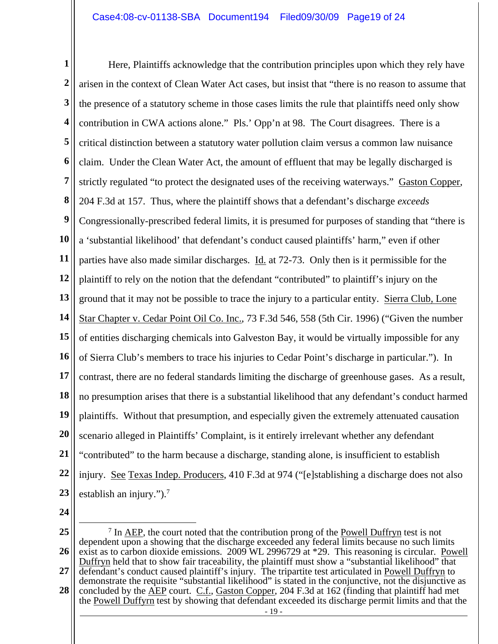**1 2 3 4 5 6 7 8 9 10 11 12 13 14 15 16 17 18 19 20 21 22 23**  Here, Plaintiffs acknowledge that the contribution principles upon which they rely have arisen in the context of Clean Water Act cases, but insist that "there is no reason to assume that the presence of a statutory scheme in those cases limits the rule that plaintiffs need only show contribution in CWA actions alone." Pls.' Opp'n at 98. The Court disagrees. There is a critical distinction between a statutory water pollution claim versus a common law nuisance claim. Under the Clean Water Act, the amount of effluent that may be legally discharged is strictly regulated "to protect the designated uses of the receiving waterways." Gaston Copper, 204 F.3d at 157. Thus, where the plaintiff shows that a defendant's discharge *exceeds* Congressionally-prescribed federal limits, it is presumed for purposes of standing that "there is a 'substantial likelihood' that defendant's conduct caused plaintiffs' harm," even if other parties have also made similar discharges. Id. at 72-73. Only then is it permissible for the plaintiff to rely on the notion that the defendant "contributed" to plaintiff's injury on the ground that it may not be possible to trace the injury to a particular entity. Sierra Club, Lone Star Chapter v. Cedar Point Oil Co. Inc., 73 F.3d 546, 558 (5th Cir. 1996) ("Given the number of entities discharging chemicals into Galveston Bay, it would be virtually impossible for any of Sierra Club's members to trace his injuries to Cedar Point's discharge in particular."). In contrast, there are no federal standards limiting the discharge of greenhouse gases. As a result, no presumption arises that there is a substantial likelihood that any defendant's conduct harmed plaintiffs. Without that presumption, and especially given the extremely attenuated causation scenario alleged in Plaintiffs' Complaint, is it entirely irrelevant whether any defendant "contributed" to the harm because a discharge, standing alone, is insufficient to establish injury. See Texas Indep. Producers, 410 F.3d at 974 ("[e]stablishing a discharge does not also establish an injury.").<sup>7</sup>

<sup>- 19 -</sup>  **25 26 27 28**  <sup>7</sup> In <u>AEP</u>, the court noted that the contribution prong of the Powell Duffryn test is not dependent upon a showing that the discharge exceeded any federal limits because no such limits exist as to carbon dioxide emissions. 2009 WL 2996729 at \*29. This reasoning is circular. Powell Duffryn held that to show fair traceability, the plaintiff must show a "substantial likelihood" that defendant's conduct caused plaintiff's injury. The tripartite test articulated in <u>Powell Duffryn</u> to demonstrate the requisite "substantial likelihood" is stated in the conjunctive, not the disjunctive as concluded by the AEP court. C.f., Gaston Copper, 204 F.3d at 162 (finding that plaintiff had met the Powell Duffyrn test by showing that defendant exceeded its discharge permit limits and that the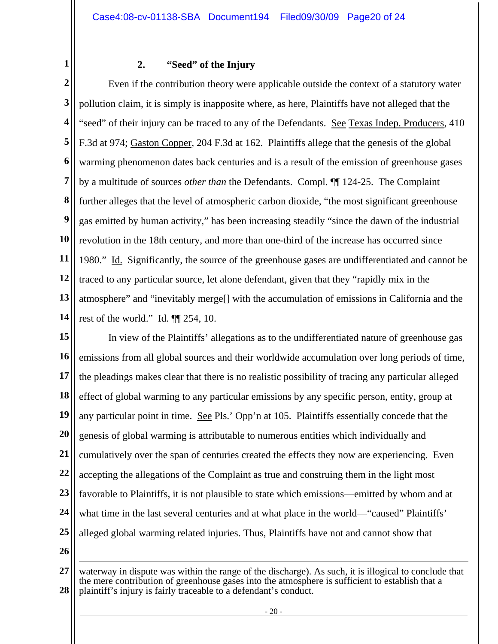**1** 

# **2. "Seed" of the Injury**

**2 3 4 5 6 7 8 9 10 11 12 13 14**  Even if the contribution theory were applicable outside the context of a statutory water pollution claim, it is simply is inapposite where, as here, Plaintiffs have not alleged that the "seed" of their injury can be traced to any of the Defendants. See Texas Indep. Producers, 410 F.3d at 974; Gaston Copper, 204 F.3d at 162. Plaintiffs allege that the genesis of the global warming phenomenon dates back centuries and is a result of the emission of greenhouse gases by a multitude of sources *other than* the Defendants. Compl. ¶¶ 124-25. The Complaint further alleges that the level of atmospheric carbon dioxide, "the most significant greenhouse gas emitted by human activity," has been increasing steadily "since the dawn of the industrial revolution in the 18th century, and more than one-third of the increase has occurred since 1980." Id. Significantly, the source of the greenhouse gases are undifferentiated and cannot be traced to any particular source, let alone defendant, given that they "rapidly mix in the atmosphere" and "inevitably merge[] with the accumulation of emissions in California and the rest of the world." Id. ¶¶ 254, 10.

**15 16 17 18 19 20 21 22 23 24 25 26**  In view of the Plaintiffs' allegations as to the undifferentiated nature of greenhouse gas emissions from all global sources and their worldwide accumulation over long periods of time, the pleadings makes clear that there is no realistic possibility of tracing any particular alleged effect of global warming to any particular emissions by any specific person, entity, group at any particular point in time. See Pls.' Opp'n at 105. Plaintiffs essentially concede that the genesis of global warming is attributable to numerous entities which individually and cumulatively over the span of centuries created the effects they now are experiencing. Even accepting the allegations of the Complaint as true and construing them in the light most favorable to Plaintiffs, it is not plausible to state which emissions—emitted by whom and at what time in the last several centuries and at what place in the world—"caused" Plaintiffs' alleged global warming related injuries. Thus, Plaintiffs have not and cannot show that

**<sup>27</sup>  28**   $\overline{a}$ waterway in dispute was within the range of the discharge). As such, it is illogical to conclude that the mere contribution of greenhouse gases into the atmosphere is sufficient to establish that a plaintiff's injury is fairly traceable to a defendant's conduct.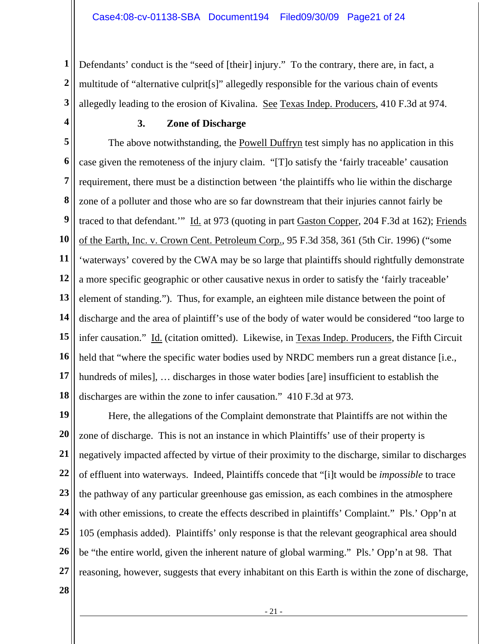**1 2 3**  Defendants' conduct is the "seed of [their] injury." To the contrary, there are, in fact, a multitude of "alternative culprit[s]" allegedly responsible for the various chain of events allegedly leading to the erosion of Kivalina. See Texas Indep. Producers, 410 F.3d at 974.

**4** 

# **3. Zone of Discharge**

**5 6 7 8 9 10 11 12 13 14 15 16 17 18**  The above notwithstanding, the **Powell Duffryn** test simply has no application in this case given the remoteness of the injury claim. "[T]o satisfy the 'fairly traceable' causation requirement, there must be a distinction between 'the plaintiffs who lie within the discharge zone of a polluter and those who are so far downstream that their injuries cannot fairly be traced to that defendant." Id. at 973 (quoting in part Gaston Copper, 204 F.3d at 162); Friends of the Earth, Inc. v. Crown Cent. Petroleum Corp., 95 F.3d 358, 361 (5th Cir. 1996) ("some 'waterways' covered by the CWA may be so large that plaintiffs should rightfully demonstrate a more specific geographic or other causative nexus in order to satisfy the 'fairly traceable' element of standing."). Thus, for example, an eighteen mile distance between the point of discharge and the area of plaintiff's use of the body of water would be considered "too large to infer causation." Id. (citation omitted). Likewise, in Texas Indep. Producers, the Fifth Circuit held that "where the specific water bodies used by NRDC members run a great distance [i.e., hundreds of miles], ... discharges in those water bodies [are] insufficient to establish the discharges are within the zone to infer causation." 410 F.3d at 973.

**19 20 21 22 23 24 25 26 27**  Here, the allegations of the Complaint demonstrate that Plaintiffs are not within the zone of discharge. This is not an instance in which Plaintiffs' use of their property is negatively impacted affected by virtue of their proximity to the discharge, similar to discharges of effluent into waterways. Indeed, Plaintiffs concede that "[i]t would be *impossible* to trace the pathway of any particular greenhouse gas emission, as each combines in the atmosphere with other emissions, to create the effects described in plaintiffs' Complaint." Pls.' Opp'n at 105 (emphasis added). Plaintiffs' only response is that the relevant geographical area should be "the entire world, given the inherent nature of global warming." Pls.' Opp'n at 98. That reasoning, however, suggests that every inhabitant on this Earth is within the zone of discharge,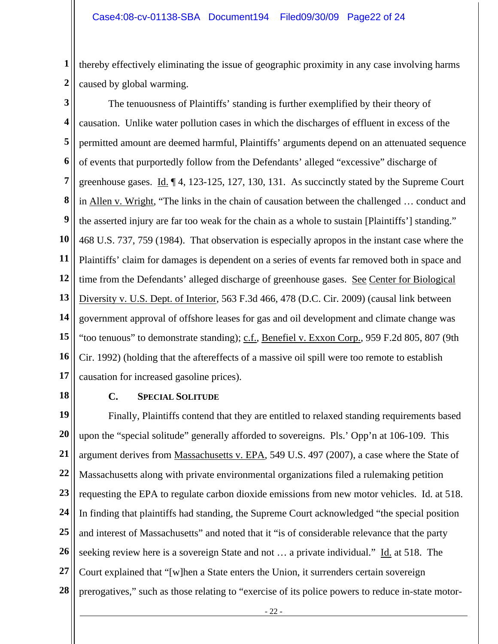**1 2**  thereby effectively eliminating the issue of geographic proximity in any case involving harms caused by global warming.

**3** 

**4 5 6 7 8 9 10 11 12 13 14 15 16 17**  The tenuousness of Plaintiffs' standing is further exemplified by their theory of causation. Unlike water pollution cases in which the discharges of effluent in excess of the permitted amount are deemed harmful, Plaintiffs' arguments depend on an attenuated sequence of events that purportedly follow from the Defendants' alleged "excessive" discharge of greenhouse gases. Id. ¶ 4, 123-125, 127, 130, 131. As succinctly stated by the Supreme Court in Allen v. Wright, "The links in the chain of causation between the challenged … conduct and the asserted injury are far too weak for the chain as a whole to sustain [Plaintiffs'] standing." 468 U.S. 737, 759 (1984). That observation is especially apropos in the instant case where the Plaintiffs' claim for damages is dependent on a series of events far removed both in space and time from the Defendants' alleged discharge of greenhouse gases. See Center for Biological Diversity v. U.S. Dept. of Interior, 563 F.3d 466, 478 (D.C. Cir. 2009) (causal link between government approval of offshore leases for gas and oil development and climate change was "too tenuous" to demonstrate standing); c.f., Benefiel v. Exxon Corp., 959 F.2d 805, 807 (9th Cir. 1992) (holding that the aftereffects of a massive oil spill were too remote to establish causation for increased gasoline prices).

**18** 

### **C. SPECIAL SOLITUDE**

**19 20 21 22 23 24 25 26 27 28**  Finally, Plaintiffs contend that they are entitled to relaxed standing requirements based upon the "special solitude" generally afforded to sovereigns. Pls.' Opp'n at 106-109. This argument derives from Massachusetts v. EPA, 549 U.S. 497 (2007), a case where the State of Massachusetts along with private environmental organizations filed a rulemaking petition requesting the EPA to regulate carbon dioxide emissions from new motor vehicles. Id. at 518. In finding that plaintiffs had standing, the Supreme Court acknowledged "the special position and interest of Massachusetts" and noted that it "is of considerable relevance that the party seeking review here is a sovereign State and not ... a private individual." Id. at 518. The Court explained that "[w]hen a State enters the Union, it surrenders certain sovereign prerogatives," such as those relating to "exercise of its police powers to reduce in-state motor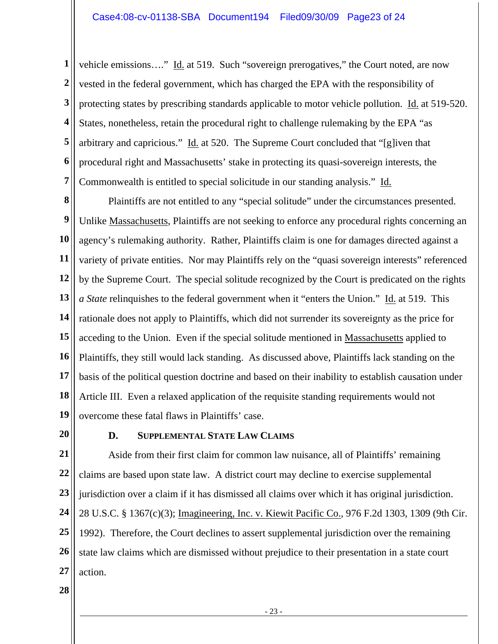**1 2 3 4 5 6 7**  vehicle emissions...." Id. at 519. Such "sovereign prerogatives," the Court noted, are now vested in the federal government, which has charged the EPA with the responsibility of protecting states by prescribing standards applicable to motor vehicle pollution. Id. at 519-520. States, nonetheless, retain the procedural right to challenge rulemaking by the EPA "as arbitrary and capricious." Id. at 520. The Supreme Court concluded that "[g]iven that procedural right and Massachusetts' stake in protecting its quasi-sovereign interests, the Commonwealth is entitled to special solicitude in our standing analysis." Id.

**8 9 10 11 12 13 14 15 16 17 18 19**  Plaintiffs are not entitled to any "special solitude" under the circumstances presented. Unlike Massachusetts, Plaintiffs are not seeking to enforce any procedural rights concerning an agency's rulemaking authority. Rather, Plaintiffs claim is one for damages directed against a variety of private entities. Nor may Plaintiffs rely on the "quasi sovereign interests" referenced by the Supreme Court. The special solitude recognized by the Court is predicated on the rights *a State* relinquishes to the federal government when it "enters the Union." Id. at 519. This rationale does not apply to Plaintiffs, which did not surrender its sovereignty as the price for acceding to the Union. Even if the special solitude mentioned in Massachusetts applied to Plaintiffs, they still would lack standing. As discussed above, Plaintiffs lack standing on the basis of the political question doctrine and based on their inability to establish causation under Article III. Even a relaxed application of the requisite standing requirements would not overcome these fatal flaws in Plaintiffs' case.

**20** 

### **D. SUPPLEMENTAL STATE LAW CLAIMS**

**21 22 23 24 25 26 27**  Aside from their first claim for common law nuisance, all of Plaintiffs' remaining claims are based upon state law. A district court may decline to exercise supplemental jurisdiction over a claim if it has dismissed all claims over which it has original jurisdiction. 28 U.S.C. § 1367(c)(3); Imagineering, Inc. v. Kiewit Pacific Co., 976 F.2d 1303, 1309 (9th Cir. 1992). Therefore, the Court declines to assert supplemental jurisdiction over the remaining state law claims which are dismissed without prejudice to their presentation in a state court action.